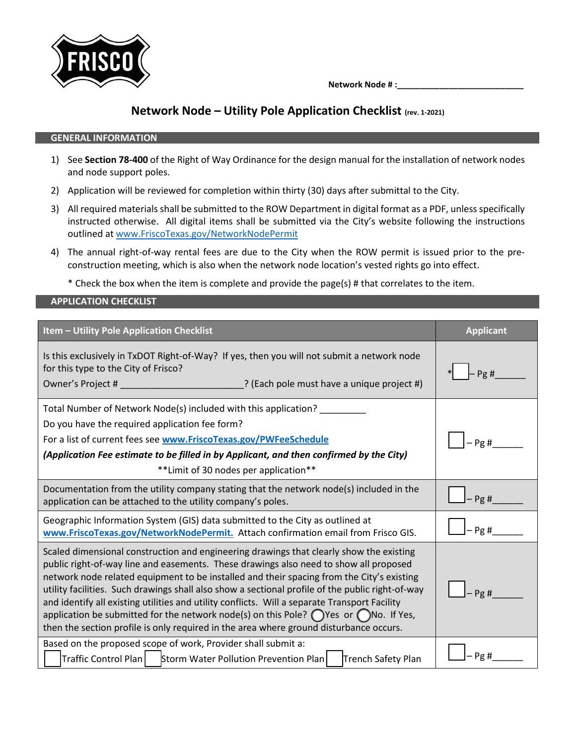

 **Network Node # :\_\_\_\_\_\_\_\_\_\_\_\_\_\_\_\_\_\_\_\_\_\_\_\_\_\_\_**

## **Network Node – Utility Pole Application Checklist (rev. 1-2021)**

## **GENERAL INFORMATION**

- 1) See **Section 78-400** of the Right of Way Ordinance for the design manual for the installation of network nodes and node support poles.
- 2) Application will be reviewed for completion within thirty (30) days after submittal to the City.
- 3) All required materials shall be submitted to the ROW Department in digital format as a PDF, unless specifically instructed otherwise. All digital items shall be submitted via the City's website following the instructions outlined at [www.FriscoTexas.gov/NetworkNodePermit](http://www.friscotexas.gov/NetworkNodePermit)
- 4) The annual right-of-way rental fees are due to the City when the ROW permit is issued prior to the preconstruction meeting, which is also when the network node location's vested rights go into effect.

\* Check the box when the item is complete and provide the page(s) # that correlates to the item.

## **APPLICATION CHECKLIST**

| Item - Utility Pole Application Checklist                                                                                                                                                                                                                                                                                                                                                                                                                                                                                                                                                                                                                                               | <b>Applicant</b> |  |
|-----------------------------------------------------------------------------------------------------------------------------------------------------------------------------------------------------------------------------------------------------------------------------------------------------------------------------------------------------------------------------------------------------------------------------------------------------------------------------------------------------------------------------------------------------------------------------------------------------------------------------------------------------------------------------------------|------------------|--|
| Is this exclusively in TxDOT Right-of-Way? If yes, then you will not submit a network node<br>for this type to the City of Frisco?<br>Owner's Project # ________________________________? (Each pole must have a unique project #)                                                                                                                                                                                                                                                                                                                                                                                                                                                      | Pg#              |  |
| Total Number of Network Node(s) included with this application? ________                                                                                                                                                                                                                                                                                                                                                                                                                                                                                                                                                                                                                |                  |  |
| Do you have the required application fee form?                                                                                                                                                                                                                                                                                                                                                                                                                                                                                                                                                                                                                                          |                  |  |
| For a list of current fees see www.FriscoTexas.gov/PWFeeSchedule                                                                                                                                                                                                                                                                                                                                                                                                                                                                                                                                                                                                                        | Pg#              |  |
| (Application Fee estimate to be filled in by Applicant, and then confirmed by the City)                                                                                                                                                                                                                                                                                                                                                                                                                                                                                                                                                                                                 |                  |  |
| **Limit of 30 nodes per application**                                                                                                                                                                                                                                                                                                                                                                                                                                                                                                                                                                                                                                                   |                  |  |
| Documentation from the utility company stating that the network node(s) included in the<br>application can be attached to the utility company's poles.                                                                                                                                                                                                                                                                                                                                                                                                                                                                                                                                  | $-$ Pg #         |  |
| Geographic Information System (GIS) data submitted to the City as outlined at<br>www.FriscoTexas.gov/NetworkNodePermit. Attach confirmation email from Frisco GIS.                                                                                                                                                                                                                                                                                                                                                                                                                                                                                                                      | $-$ Pg #         |  |
| Scaled dimensional construction and engineering drawings that clearly show the existing<br>public right-of-way line and easements. These drawings also need to show all proposed<br>network node related equipment to be installed and their spacing from the City's existing<br>utility facilities. Such drawings shall also show a sectional profile of the public right-of-way<br>and identify all existing utilities and utility conflicts. Will a separate Transport Facility<br>application be submitted for the network node(s) on this Pole? $\bigcirc$ Yes or $\bigcirc$ No. If Yes,<br>then the section profile is only required in the area where ground disturbance occurs. | Pg#              |  |
| Based on the proposed scope of work, Provider shall submit a:<br>Traffic Control Plan   Storm Water Pollution Prevention Plan<br>Trench Safety Plan                                                                                                                                                                                                                                                                                                                                                                                                                                                                                                                                     | – Pg #           |  |